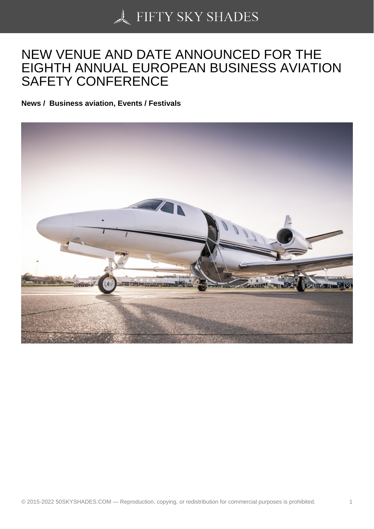## [NEW VENUE AND DA](https://50skyshades.com)TE ANNOUNCED FOR THE EIGHTH ANNUAL EUROPEAN BUSINESS AVIATION SAFETY CONFERENCE

News / Business aviation, Events / Festivals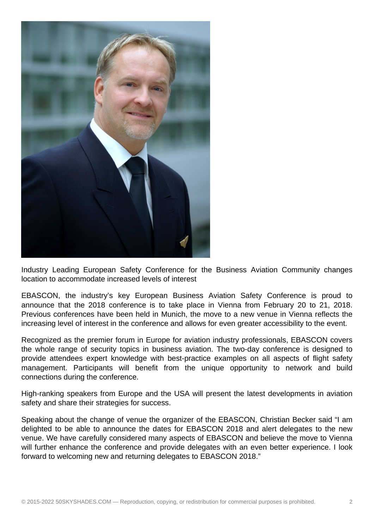

Industry Leading European Safety Conference for the Business Aviation Community changes location to accommodate increased levels of interest

EBASCON, the industry's key European Business Aviation Safety Conference is proud to announce that the 2018 conference is to take place in Vienna from February 20 to 21, 2018. Previous conferences have been held in Munich, the move to a new venue in Vienna reflects the increasing level of interest in the conference and allows for even greater accessibility to the event.

Recognized as the premier forum in Europe for aviation industry professionals, EBASCON covers the whole range of security topics in business aviation. The two-day conference is designed to provide attendees expert knowledge with best-practice examples on all aspects of flight safety management. Participants will benefit from the unique opportunity to network and build connections during the conference.

High-ranking speakers from Europe and the USA will present the latest developments in aviation safety and share their strategies for success.

Speaking about the change of venue the organizer of the EBASCON, Christian Becker said "I am delighted to be able to announce the dates for EBASCON 2018 and alert delegates to the new venue. We have carefully considered many aspects of EBASCON and believe the move to Vienna will further enhance the conference and provide delegates with an even better experience. I look forward to welcoming new and returning delegates to EBASCON 2018."